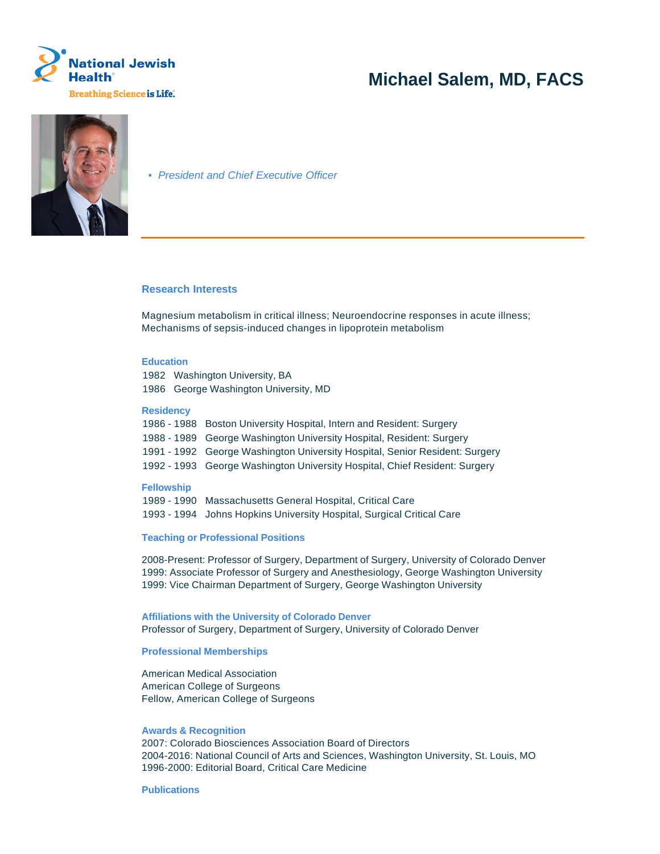

# **Michael Salem, MD, FACS**



• President and Chief Executive Officer

### **Research Interests**

Magnesium metabolism in critical illness; Neuroendocrine responses in acute illness; Mechanisms of sepsis-induced changes in lipoprotein metabolism

### **Education**

1982 Washington University, BA 1986 George Washington University, MD

#### **Residency**

| 1986 - 1988 Boston University Hospital, Intern and Resident: Surgery        |
|-----------------------------------------------------------------------------|
| 1988 - 1989 George Washington University Hospital, Resident: Surgery        |
| 1991 - 1992 George Washington University Hospital, Senior Resident: Surgery |
| 1992 - 1993 George Washington University Hospital, Chief Resident: Surgery  |

## **Fellowship**

1989 - 1990 Massachusetts General Hospital, Critical Care 1993 - 1994 Johns Hopkins University Hospital, Surgical Critical Care

## **Teaching or Professional Positions**

2008-Present: Professor of Surgery, Department of Surgery, University of Colorado Denver 1999: Associate Professor of Surgery and Anesthesiology, George Washington University 1999: Vice Chairman Department of Surgery, George Washington University

**Affiliations with the University of Colorado Denver** Professor of Surgery, Department of Surgery, University of Colorado Denver

#### **Professional Memberships**

American Medical Association American College of Surgeons Fellow, American College of Surgeons

#### **Awards & Recognition**

2007: Colorado Biosciences Association Board of Directors 2004-2016: National Council of Arts and Sciences, Washington University, St. Louis, MO 1996-2000: Editorial Board, Critical Care Medicine

### **Publications**